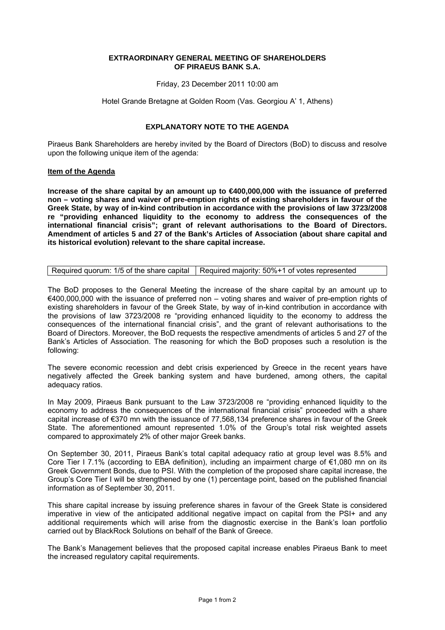## **EXTRAORDINARY GENERAL MEETING OF SHAREHOLDERS OF PIRAEUS BANK S.A.**

Friday, 23 December 2011 10:00 am

Hotel Grande Bretagne at Golden Room (Vas. Georgiou Α' 1, Athens)

## **EXPLANATORY NOTE TO THE AGENDA**

Piraeus Bank Shareholders are hereby invited by the Board of Directors (BoD) to discuss and resolve upon the following unique item of the agenda:

## **Item of the Agenda**

**Increase of the share capital by an amount up to €400,000,000 with the issuance of preferred non – voting shares and waiver of pre-emption rights of existing shareholders in favour of the Greek State, by way of in-kind contribution in accordance with the provisions of law 3723/2008 re "providing enhanced liquidity to the economy to address the consequences of the international financial crisis"; grant of relevant authorisations to the Board of Directors. Amendment of articles 5 and 27 of the Bank's Articles of Association (about share capital and its historical evolution) relevant to the share capital increase.** 

| Required quorum: 1/5 of the share capital   Required majority: 50%+1 of votes represented |
|-------------------------------------------------------------------------------------------|
|                                                                                           |

The BoD proposes to the General Meeting the increase of the share capital by an amount up to €400,000,000 with the issuance of preferred non – voting shares and waiver of pre-emption rights of existing shareholders in favour of the Greek State, by way of in-kind contribution in accordance with the provisions of law 3723/2008 re "providing enhanced liquidity to the economy to address the consequences of the international financial crisis", and the grant of relevant authorisations to the Board of Directors. Moreover, the BoD requests the respective amendments of articles 5 and 27 of the Bank's Articles of Association. The reasoning for which the BoD proposes such a resolution is the following:

The severe economic recession and debt crisis experienced by Greece in the recent years have negatively affected the Greek banking system and have burdened, among others, the capital adequacy ratios.

In May 2009, Piraeus Bank pursuant to the Law 3723/2008 re "providing enhanced liquidity to the economy to address the consequences of the international financial crisis" proceeded with a share capital increase of €370 mn with the issuance of 77,568,134 preference shares in favour of the Greek State. The aforementioned amount represented 1.0% of the Group's total risk weighted assets compared to approximately 2% of other major Greek banks.

On September 30, 2011, Piraeus Bank's total capital adequacy ratio at group level was 8.5% and Core Tier I 7.1% (according to EBA definition), including an impairment charge of €1,080 mn on its Greek Government Bonds, due to PSI. With the completion of the proposed share capital increase, the Group's Core Tier I will be strengthened by one (1) percentage point, based on the published financial information as of September 30, 2011.

This share capital increase by issuing preference shares in favour of the Greek State is considered imperative in view of the anticipated additional negative impact on capital from the PSI+ and any additional requirements which will arise from the diagnostic exercise in the Bank's loan portfolio carried out by BlackRock Solutions on behalf of the Bank of Greece.

The Bank's Management believes that the proposed capital increase enables Piraeus Bank to meet the increased regulatory capital requirements.